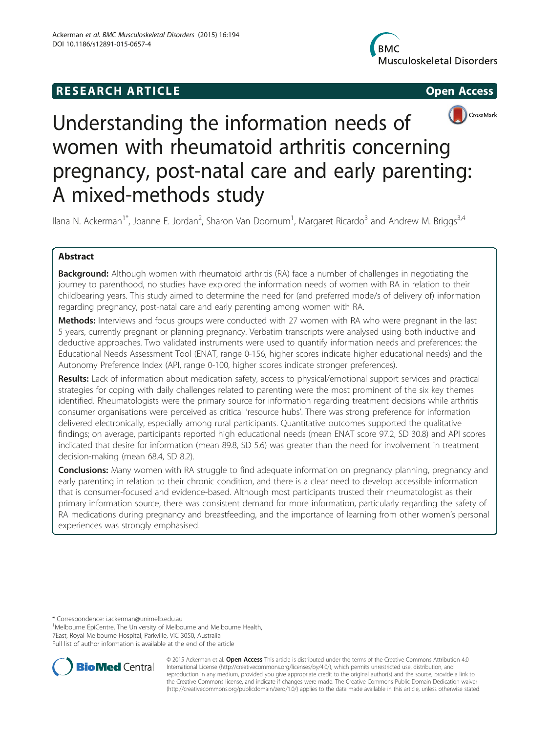## **RESEARCH ARTICLE Example 2014 CONSIDERING CONSIDERING CONSIDERING CONSIDERING CONSIDERING CONSIDERING CONSIDERING CONSIDERING CONSIDERING CONSIDERING CONSIDERING CONSIDERING CONSIDERING CONSIDERING CONSIDERING CONSIDE**







# Understanding the information needs of women with rheumatoid arthritis concerning pregnancy, post-natal care and early parenting: A mixed-methods study

Ilana N. Ackerman<sup>1\*</sup>, Joanne E. Jordan<sup>2</sup>, Sharon Van Doornum<sup>1</sup>, Margaret Ricardo<sup>3</sup> and Andrew M. Briggs<sup>3,4</sup>

## Abstract

**Background:** Although women with rheumatoid arthritis (RA) face a number of challenges in negotiating the journey to parenthood, no studies have explored the information needs of women with RA in relation to their childbearing years. This study aimed to determine the need for (and preferred mode/s of delivery of) information regarding pregnancy, post-natal care and early parenting among women with RA.

Methods: Interviews and focus groups were conducted with 27 women with RA who were pregnant in the last 5 years, currently pregnant or planning pregnancy. Verbatim transcripts were analysed using both inductive and deductive approaches. Two validated instruments were used to quantify information needs and preferences: the Educational Needs Assessment Tool (ENAT, range 0-156, higher scores indicate higher educational needs) and the Autonomy Preference Index (API, range 0-100, higher scores indicate stronger preferences).

Results: Lack of information about medication safety, access to physical/emotional support services and practical strategies for coping with daily challenges related to parenting were the most prominent of the six key themes identified. Rheumatologists were the primary source for information regarding treatment decisions while arthritis consumer organisations were perceived as critical 'resource hubs'. There was strong preference for information delivered electronically, especially among rural participants. Quantitative outcomes supported the qualitative findings; on average, participants reported high educational needs (mean ENAT score 97.2, SD 30.8) and API scores indicated that desire for information (mean 89.8, SD 5.6) was greater than the need for involvement in treatment decision-making (mean 68.4, SD 8.2).

**Conclusions:** Many women with RA struggle to find adequate information on pregnancy planning, pregnancy and early parenting in relation to their chronic condition, and there is a clear need to develop accessible information that is consumer-focused and evidence-based. Although most participants trusted their rheumatologist as their primary information source, there was consistent demand for more information, particularly regarding the safety of RA medications during pregnancy and breastfeeding, and the importance of learning from other women's personal experiences was strongly emphasised.

<sup>1</sup>Melbourne EpiCentre, The University of Melbourne and Melbourne Health, 7East, Royal Melbourne Hospital, Parkville, VIC 3050, Australia

Full list of author information is available at the end of the article



© 2015 Ackerman et al. Open Access This article is distributed under the terms of the Creative Commons Attribution 4.0 International License [\(http://creativecommons.org/licenses/by/4.0/](http://creativecommons.org/licenses/by/4.0/)), which permits unrestricted use, distribution, and reproduction in any medium, provided you give appropriate credit to the original author(s) and the source, provide a link to the Creative Commons license, and indicate if changes were made. The Creative Commons Public Domain Dedication waiver [\(http://creativecommons.org/publicdomain/zero/1.0/](http://creativecommons.org/publicdomain/zero/1.0/)) applies to the data made available in this article, unless otherwise stated.

<sup>\*</sup> Correspondence: [i.ackerman@unimelb.edu.au](mailto:i.ackerman@unimelb.edu.au) <sup>1</sup>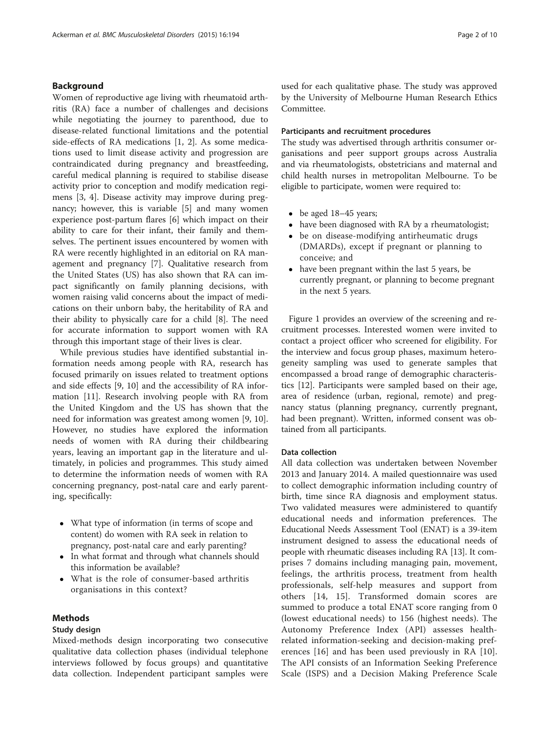#### Background

Women of reproductive age living with rheumatoid arthritis (RA) face a number of challenges and decisions while negotiating the journey to parenthood, due to disease-related functional limitations and the potential side-effects of RA medications [\[1, 2](#page-8-0)]. As some medications used to limit disease activity and progression are contraindicated during pregnancy and breastfeeding, careful medical planning is required to stabilise disease activity prior to conception and modify medication regimens [[3, 4\]](#page-8-0). Disease activity may improve during pregnancy; however, this is variable [[5\]](#page-8-0) and many women experience post-partum flares [\[6](#page-8-0)] which impact on their ability to care for their infant, their family and themselves. The pertinent issues encountered by women with RA were recently highlighted in an editorial on RA management and pregnancy [[7\]](#page-8-0). Qualitative research from the United States (US) has also shown that RA can impact significantly on family planning decisions, with women raising valid concerns about the impact of medications on their unborn baby, the heritability of RA and their ability to physically care for a child [[8\]](#page-8-0). The need for accurate information to support women with RA through this important stage of their lives is clear.

While previous studies have identified substantial information needs among people with RA, research has focused primarily on issues related to treatment options and side effects [[9, 10](#page-8-0)] and the accessibility of RA information [[11\]](#page-8-0). Research involving people with RA from the United Kingdom and the US has shown that the need for information was greatest among women [\[9](#page-8-0), [10](#page-8-0)]. However, no studies have explored the information needs of women with RA during their childbearing years, leaving an important gap in the literature and ultimately, in policies and programmes. This study aimed to determine the information needs of women with RA concerning pregnancy, post-natal care and early parenting, specifically:

- What type of information (in terms of scope and content) do women with RA seek in relation to pregnancy, post-natal care and early parenting?
- In what format and through what channels should this information be available?
- What is the role of consumer-based arthritis organisations in this context?

#### Methods

#### Study design

Mixed-methods design incorporating two consecutive qualitative data collection phases (individual telephone interviews followed by focus groups) and quantitative data collection. Independent participant samples were used for each qualitative phase. The study was approved by the University of Melbourne Human Research Ethics Committee.

#### Participants and recruitment procedures

The study was advertised through arthritis consumer organisations and peer support groups across Australia and via rheumatologists, obstetricians and maternal and child health nurses in metropolitan Melbourne. To be eligible to participate, women were required to:

- be aged 18–45 years;
- have been diagnosed with RA by a rheumatologist;
- be on disease-modifying antirheumatic drugs (DMARDs), except if pregnant or planning to conceive; and
- have been pregnant within the last 5 years, be currently pregnant, or planning to become pregnant in the next 5 years.

Figure [1](#page-2-0) provides an overview of the screening and recruitment processes. Interested women were invited to contact a project officer who screened for eligibility. For the interview and focus group phases, maximum heterogeneity sampling was used to generate samples that encompassed a broad range of demographic characteristics [[12\]](#page-8-0). Participants were sampled based on their age, area of residence (urban, regional, remote) and pregnancy status (planning pregnancy, currently pregnant, had been pregnant). Written, informed consent was obtained from all participants.

#### Data collection

All data collection was undertaken between November 2013 and January 2014. A mailed questionnaire was used to collect demographic information including country of birth, time since RA diagnosis and employment status. Two validated measures were administered to quantify educational needs and information preferences. The Educational Needs Assessment Tool (ENAT) is a 39-item instrument designed to assess the educational needs of people with rheumatic diseases including RA [\[13\]](#page-8-0). It comprises 7 domains including managing pain, movement, feelings, the arthritis process, treatment from health professionals, self-help measures and support from others [[14, 15\]](#page-8-0). Transformed domain scores are summed to produce a total ENAT score ranging from 0 (lowest educational needs) to 156 (highest needs). The Autonomy Preference Index (API) assesses healthrelated information-seeking and decision-making preferences [[16](#page-9-0)] and has been used previously in RA [\[10](#page-8-0)]. The API consists of an Information Seeking Preference Scale (ISPS) and a Decision Making Preference Scale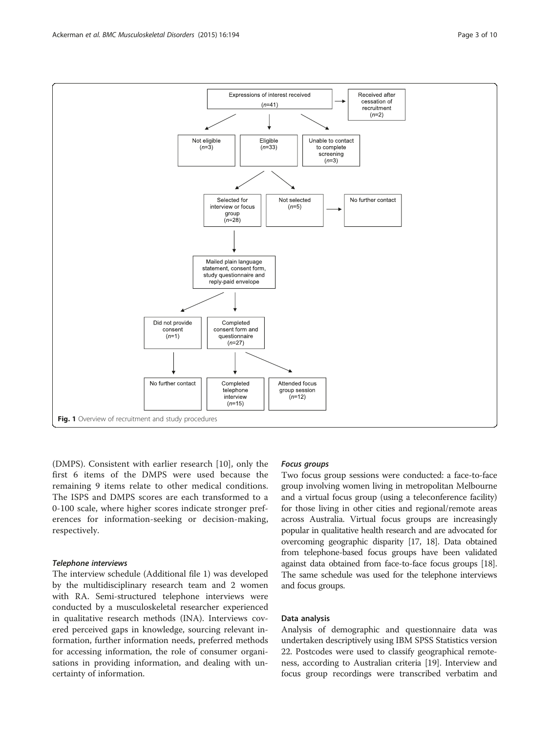(DMPS). Consistent with earlier research [[10](#page-8-0)], only the first 6 items of the DMPS were used because the remaining 9 items relate to other medical conditions. The ISPS and DMPS scores are each transformed to a 0-100 scale, where higher scores indicate stronger preferences for information-seeking or decision-making, respectively.

#### Telephone interviews

The interview schedule (Additional file [1\)](#page-8-0) was developed by the multidisciplinary research team and 2 women with RA. Semi-structured telephone interviews were conducted by a musculoskeletal researcher experienced in qualitative research methods (INA). Interviews covered perceived gaps in knowledge, sourcing relevant information, further information needs, preferred methods for accessing information, the role of consumer organisations in providing information, and dealing with uncertainty of information.

## Focus groups

Two focus group sessions were conducted: a face-to-face group involving women living in metropolitan Melbourne and a virtual focus group (using a teleconference facility) for those living in other cities and regional/remote areas across Australia. Virtual focus groups are increasingly popular in qualitative health research and are advocated for overcoming geographic disparity [\[17, 18](#page-9-0)]. Data obtained from telephone-based focus groups have been validated against data obtained from face-to-face focus groups [\[18](#page-9-0)]. The same schedule was used for the telephone interviews and focus groups.

#### Data analysis

Analysis of demographic and questionnaire data was undertaken descriptively using IBM SPSS Statistics version 22. Postcodes were used to classify geographical remoteness, according to Australian criteria [\[19\]](#page-9-0). Interview and focus group recordings were transcribed verbatim and

<span id="page-2-0"></span>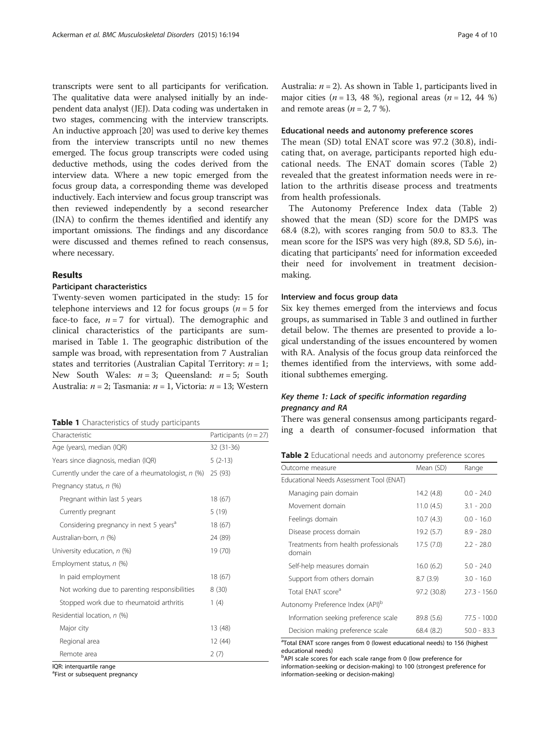transcripts were sent to all participants for verification. The qualitative data were analysed initially by an independent data analyst (JEJ). Data coding was undertaken in two stages, commencing with the interview transcripts. An inductive approach [[20](#page-9-0)] was used to derive key themes from the interview transcripts until no new themes emerged. The focus group transcripts were coded using deductive methods, using the codes derived from the interview data. Where a new topic emerged from the focus group data, a corresponding theme was developed inductively. Each interview and focus group transcript was then reviewed independently by a second researcher (INA) to confirm the themes identified and identify any important omissions. The findings and any discordance were discussed and themes refined to reach consensus, where necessary.

#### Results

#### Participant characteristics

Twenty-seven women participated in the study: 15 for telephone interviews and 12 for focus groups ( $n = 5$  for face-to face,  $n = 7$  for virtual). The demographic and clinical characteristics of the participants are summarised in Table 1. The geographic distribution of the sample was broad, with representation from 7 Australian states and territories (Australian Capital Territory:  $n = 1$ ; New South Wales:  $n = 3$ ; Queensland:  $n = 5$ ; South Australia:  $n = 2$ ; Tasmania:  $n = 1$ , Victoria:  $n = 13$ ; Western

|  | Table 1 Characteristics of study participants |  |  |
|--|-----------------------------------------------|--|--|
|--|-----------------------------------------------|--|--|

| Characteristic                                      | Participants ( $n = 27$ ) |  |
|-----------------------------------------------------|---------------------------|--|
| Age (years), median (IQR)                           | 32 (31-36)                |  |
| Years since diagnosis, median (IQR)                 | $5(2-13)$                 |  |
| Currently under the care of a rheumatologist, n (%) | 25(93)                    |  |
| Pregnancy status, n (%)                             |                           |  |
| Pregnant within last 5 years                        | 18(67)                    |  |
| Currently pregnant                                  | 5(19)                     |  |
| Considering pregnancy in next 5 years <sup>a</sup>  | 18(67)                    |  |
| Australian-born, n (%)                              | 24 (89)                   |  |
| University education, n (%)                         | 19 (70)                   |  |
| Employment status, $n$ (%)                          |                           |  |
| In paid employment                                  | 18 (67)                   |  |
| Not working due to parenting responsibilities       | 8(30)                     |  |
| Stopped work due to rheumatoid arthritis            | 1(4)                      |  |
| Residential location, n (%)                         |                           |  |
| Major city                                          | 13 (48)                   |  |
| Regional area                                       | 12 (44)                   |  |
| Remote area                                         | 2(7)                      |  |

IQR: interquartile range

<sup>a</sup>First or subsequent pregnancy

Australia:  $n = 2$ ). As shown in Table 1, participants lived in major cities ( $n = 13, 48$  %), regional areas ( $n = 12, 44$  %) and remote areas  $(n = 2, 7 \%)$ .

#### Educational needs and autonomy preference scores

The mean (SD) total ENAT score was 97.2 (30.8), indicating that, on average, participants reported high educational needs. The ENAT domain scores (Table 2) revealed that the greatest information needs were in relation to the arthritis disease process and treatments from health professionals.

The Autonomy Preference Index data (Table 2) showed that the mean (SD) score for the DMPS was 68.4 (8.2), with scores ranging from 50.0 to 83.3. The mean score for the ISPS was very high (89.8, SD 5.6), indicating that participants' need for information exceeded their need for involvement in treatment decisionmaking.

#### Interview and focus group data

Six key themes emerged from the interviews and focus groups, as summarised in Table [3](#page-4-0) and outlined in further detail below. The themes are presented to provide a logical understanding of the issues encountered by women with RA. Analysis of the focus group data reinforced the themes identified from the interviews, with some additional subthemes emerging.

## Key theme 1: Lack of specific information regarding pregnancy and RA

There was general consensus among participants regarding a dearth of consumer-focused information that

| Table 2 Educational needs and autonomy preference scores |  |
|----------------------------------------------------------|--|
|----------------------------------------------------------|--|

| Outcome measure                                | Mean (SD)   | Range          |  |
|------------------------------------------------|-------------|----------------|--|
| Educational Needs Assessment Tool (ENAT)       |             |                |  |
| Managing pain domain                           | 14.2 (4.8)  | $0.0 - 24.0$   |  |
| Movement domain                                | 11.0(4.5)   | $3.1 - 20.0$   |  |
| Feelings domain                                | 10.7(4.3)   | $0.0 - 16.0$   |  |
| Disease process domain                         | 19.2 (5.7)  | $8.9 - 28.0$   |  |
| Treatments from health professionals<br>domain | 17.5(7.0)   | $2.2 - 28.0$   |  |
| Self-help measures domain                      | 16.0(6.2)   | $5.0 - 24.0$   |  |
| Support from others domain                     | 8.7(3.9)    | $3.0 - 16.0$   |  |
| Total FNAT score <sup>a</sup>                  | 97.2 (30.8) | $27.3 - 156.0$ |  |
| Autonomy Preference Index (API) <sup>b</sup>   |             |                |  |
| Information seeking preference scale           | 89.8 (5.6)  | $77.5 - 100.0$ |  |
| Decision making preference scale               | 68.4 (8.2)  | $50.0 - 83.3$  |  |

<sup>a</sup>Total ENAT score ranges from 0 (lowest educational needs) to 156 (highest educational needs)

bAPI scale scores for each scale range from 0 (low preference for

information-seeking or decision-making) to 100 (strongest preference for information-seeking or decision-making)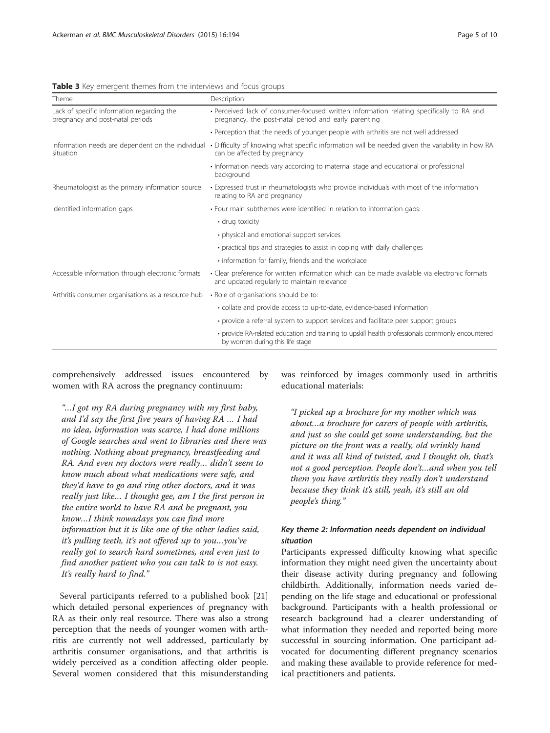#### <span id="page-4-0"></span>Table 3 Key emergent themes from the interviews and focus groups

| Theme                                                                          | Description                                                                                                                                      |  |
|--------------------------------------------------------------------------------|--------------------------------------------------------------------------------------------------------------------------------------------------|--|
| Lack of specific information regarding the<br>pregnancy and post-natal periods | • Perceived lack of consumer-focused written information relating specifically to RA and<br>pregnancy, the post-natal period and early parenting |  |
|                                                                                | • Perception that the needs of younger people with arthritis are not well addressed                                                              |  |
| Information needs are dependent on the individual<br>situation                 | • Difficulty of knowing what specific information will be needed given the variability in how RA<br>can be affected by pregnancy                 |  |
|                                                                                | • Information needs vary according to maternal stage and educational or professional<br>background                                               |  |
| Rheumatologist as the primary information source                               | • Expressed trust in rheumatologists who provide individuals with most of the information<br>relating to RA and pregnancy                        |  |
| Identified information gaps                                                    | . Four main subthemes were identified in relation to information gaps:                                                                           |  |
|                                                                                | · drug toxicity                                                                                                                                  |  |
|                                                                                | • physical and emotional support services                                                                                                        |  |
|                                                                                | • practical tips and strategies to assist in coping with daily challenges                                                                        |  |
|                                                                                | . information for family, friends and the workplace                                                                                              |  |
| Accessible information through electronic formats                              | • Clear preference for written information which can be made available via electronic formats<br>and updated regularly to maintain relevance     |  |
| Arthritis consumer organisations as a resource hub                             | • Role of organisations should be to:                                                                                                            |  |
|                                                                                | • collate and provide access to up-to-date, evidence-based information                                                                           |  |
|                                                                                | • provide a referral system to support services and facilitate peer support groups                                                               |  |
|                                                                                | • provide RA-related education and training to upskill health professionals commonly encountered<br>by women during this life stage              |  |

comprehensively addressed issues encountered by women with RA across the pregnancy continuum:

"…I got my RA during pregnancy with my first baby, and I'd say the first five years of having RA … I had no idea, information was scarce, I had done millions of Google searches and went to libraries and there was nothing. Nothing about pregnancy, breastfeeding and RA. And even my doctors were really… didn't seem to know much about what medications were safe, and they'd have to go and ring other doctors, and it was really just like… I thought gee, am I the first person in the entire world to have RA and be pregnant, you know…I think nowadays you can find more information but it is like one of the other ladies said, it's pulling teeth, it's not offered up to you…you've really got to search hard sometimes, and even just to find another patient who you can talk to is not easy. It's really hard to find."

Several participants referred to a published book [[21](#page-9-0)] which detailed personal experiences of pregnancy with RA as their only real resource. There was also a strong perception that the needs of younger women with arthritis are currently not well addressed, particularly by arthritis consumer organisations, and that arthritis is widely perceived as a condition affecting older people. Several women considered that this misunderstanding was reinforced by images commonly used in arthritis educational materials:

"I picked up a brochure for my mother which was about…a brochure for carers of people with arthritis, and just so she could get some understanding, but the picture on the front was a really, old wrinkly hand and it was all kind of twisted, and I thought oh, that's not a good perception. People don't…and when you tell them you have arthritis they really don't understand because they think it's still, yeah, it's still an old people's thing."

## Key theme 2: Information needs dependent on individual situation

Participants expressed difficulty knowing what specific information they might need given the uncertainty about their disease activity during pregnancy and following childbirth. Additionally, information needs varied depending on the life stage and educational or professional background. Participants with a health professional or research background had a clearer understanding of what information they needed and reported being more successful in sourcing information. One participant advocated for documenting different pregnancy scenarios and making these available to provide reference for medical practitioners and patients.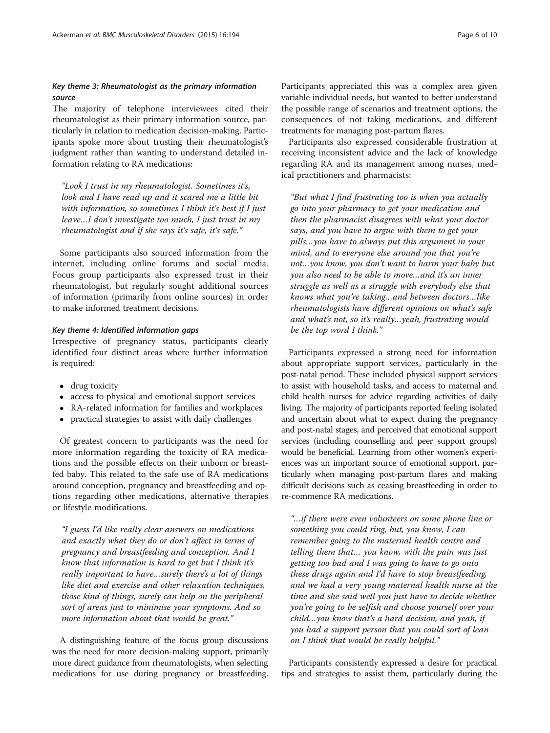#### Key theme 3: Rheumatologist as the primary information source

The majority of telephone interviewees cited their rheumatologist as their primary information source, particularly in relation to medication decision-making. Participants spoke more about trusting their rheumatologist's judgment rather than wanting to understand detailed information relating to RA medications:

"Look I trust in my rheumatologist. Sometimes it's, look and I have read up and it scared me a little bit with information, so sometimes I think it's best if I just leave…I don't investigate too much, I just trust in my rheumatologist and if she says it's safe, it's safe."

Some participants also sourced information from the internet, including online forums and social media. Focus group participants also expressed trust in their rheumatologist, but regularly sought additional sources of information (primarily from online sources) in order to make informed treatment decisions.

#### Key theme 4: Identified information gaps

Irrespective of pregnancy status, participants clearly identified four distinct areas where further information is required:

- drug toxicity
- access to physical and emotional support services
- RA-related information for families and workplaces
- practical strategies to assist with daily challenges

Of greatest concern to participants was the need for more information regarding the toxicity of RA medications and the possible effects on their unborn or breastfed baby. This related to the safe use of RA medications around conception, pregnancy and breastfeeding and options regarding other medications, alternative therapies or lifestyle modifications.

"I guess I'd like really clear answers on medications and exactly what they do or don't affect in terms of pregnancy and breastfeeding and conception. And I know that information is hard to get but I think it's really important to have…surely there's a lot of things like diet and exercise and other relaxation techniques, those kind of things, surely can help on the peripheral sort of areas just to minimise your symptoms. And so more information about that would be great."

A distinguishing feature of the focus group discussions was the need for more decision-making support, primarily more direct guidance from rheumatologists, when selecting medications for use during pregnancy or breastfeeding.

Participants appreciated this was a complex area given variable individual needs, but wanted to better understand the possible range of scenarios and treatment options, the consequences of not taking medications, and different treatments for managing post-partum flares.

Participants also expressed considerable frustration at receiving inconsistent advice and the lack of knowledge regarding RA and its management among nurses, medical practitioners and pharmacists:

"But what I find frustrating too is when you actually go into your pharmacy to get your medication and then the pharmacist disagrees with what your doctor says, and you have to argue with them to get your pills…you have to always put this argument in your mind, and to everyone else around you that you're not…you know, you don't want to harm your baby but you also need to be able to move…and it's an inner struggle as well as a struggle with everybody else that knows what you're taking…and between doctors…like rheumatologists have different opinions on what's safe and what's not, so it's really…yeah, frustrating would be the top word I think."

Participants expressed a strong need for information about appropriate support services, particularly in the post-natal period. These included physical support services to assist with household tasks, and access to maternal and child health nurses for advice regarding activities of daily living. The majority of participants reported feeling isolated and uncertain about what to expect during the pregnancy and post-natal stages, and perceived that emotional support services (including counselling and peer support groups) would be beneficial. Learning from other women's experiences was an important source of emotional support, particularly when managing post-partum flares and making difficult decisions such as ceasing breastfeeding in order to re-commence RA medications.

"…if there were even volunteers on some phone line or something you could ring, but, you know, I can remember going to the maternal health centre and telling them that… you know, with the pain was just getting too bad and I was going to have to go onto these drugs again and I'd have to stop breastfeeding, and we had a very young maternal health nurse at the time and she said well you just have to decide whether you're going to be selfish and choose yourself over your child…you know that's a hard decision, and yeah, if you had a support person that you could sort of lean on I think that would be really helpful."

Participants consistently expressed a desire for practical tips and strategies to assist them, particularly during the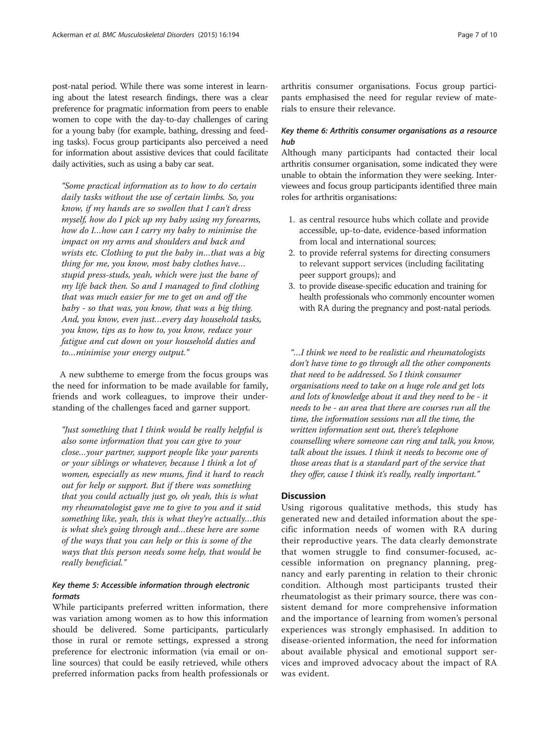post-natal period. While there was some interest in learning about the latest research findings, there was a clear preference for pragmatic information from peers to enable women to cope with the day-to-day challenges of caring for a young baby (for example, bathing, dressing and feeding tasks). Focus group participants also perceived a need for information about assistive devices that could facilitate daily activities, such as using a baby car seat.

"Some practical information as to how to do certain daily tasks without the use of certain limbs. So, you know, if my hands are so swollen that I can't dress myself, how do I pick up my baby using my forearms, how do I…how can I carry my baby to minimise the impact on my arms and shoulders and back and wrists etc. Clothing to put the baby in…that was a big thing for me, you know, most baby clothes have… stupid press-studs, yeah, which were just the bane of my life back then. So and I managed to find clothing that was much easier for me to get on and off the baby - so that was, you know, that was a big thing. And, you know, even just…every day household tasks, you know, tips as to how to, you know, reduce your fatigue and cut down on your household duties and to…minimise your energy output."

A new subtheme to emerge from the focus groups was the need for information to be made available for family, friends and work colleagues, to improve their understanding of the challenges faced and garner support.

"Just something that I think would be really helpful is also some information that you can give to your close…your partner, support people like your parents or your siblings or whatever, because I think a lot of women, especially as new mums, find it hard to reach out for help or support. But if there was something that you could actually just go, oh yeah, this is what my rheumatologist gave me to give to you and it said something like, yeah, this is what they're actually…this is what she's going through and…these here are some of the ways that you can help or this is some of the ways that this person needs some help, that would be really beneficial."

## Key theme 5: Accessible information through electronic formats

While participants preferred written information, there was variation among women as to how this information should be delivered. Some participants, particularly those in rural or remote settings, expressed a strong preference for electronic information (via email or online sources) that could be easily retrieved, while others preferred information packs from health professionals or

arthritis consumer organisations. Focus group participants emphasised the need for regular review of materials to ensure their relevance.

## Key theme 6: Arthritis consumer organisations as a resource hub

Although many participants had contacted their local arthritis consumer organisation, some indicated they were unable to obtain the information they were seeking. Interviewees and focus group participants identified three main roles for arthritis organisations:

- 1. as central resource hubs which collate and provide accessible, up-to-date, evidence-based information from local and international sources;
- 2. to provide referral systems for directing consumers to relevant support services (including facilitating peer support groups); and
- 3. to provide disease-specific education and training for health professionals who commonly encounter women with RA during the pregnancy and post-natal periods.

"…I think we need to be realistic and rheumatologists don't have time to go through all the other components that need to be addressed. So I think consumer organisations need to take on a huge role and get lots and lots of knowledge about it and they need to be - it needs to be - an area that there are courses run all the time, the information sessions run all the time, the written information sent out, there's telephone counselling where someone can ring and talk, you know, talk about the issues. I think it needs to become one of those areas that is a standard part of the service that they offer, cause I think it's really, really important."

## **Discussion**

Using rigorous qualitative methods, this study has generated new and detailed information about the specific information needs of women with RA during their reproductive years. The data clearly demonstrate that women struggle to find consumer-focused, accessible information on pregnancy planning, pregnancy and early parenting in relation to their chronic condition. Although most participants trusted their rheumatologist as their primary source, there was consistent demand for more comprehensive information and the importance of learning from women's personal experiences was strongly emphasised. In addition to disease-oriented information, the need for information about available physical and emotional support services and improved advocacy about the impact of RA was evident.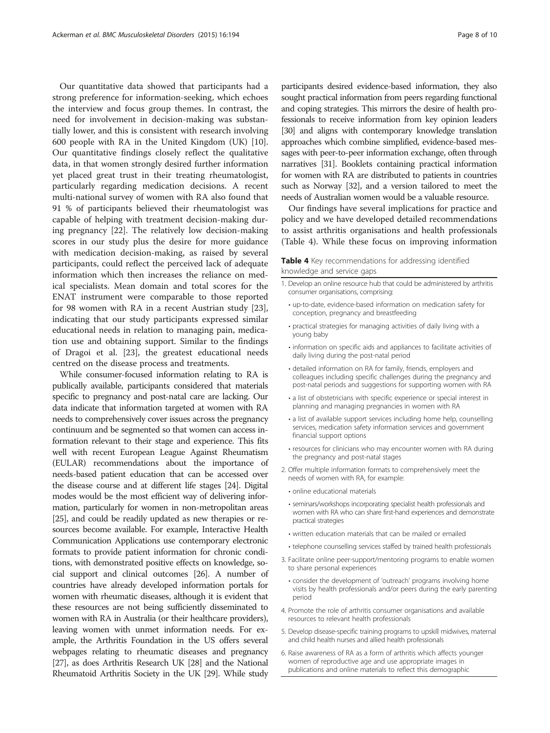Our quantitative data showed that participants had a strong preference for information-seeking, which echoes the interview and focus group themes. In contrast, the need for involvement in decision-making was substantially lower, and this is consistent with research involving 600 people with RA in the United Kingdom (UK) [\[10](#page-8-0)]. Our quantitative findings closely reflect the qualitative data, in that women strongly desired further information yet placed great trust in their treating rheumatologist, particularly regarding medication decisions. A recent multi-national survey of women with RA also found that 91 % of participants believed their rheumatologist was capable of helping with treatment decision-making during pregnancy [\[22](#page-9-0)]. The relatively low decision-making scores in our study plus the desire for more guidance with medication decision-making, as raised by several participants, could reflect the perceived lack of adequate information which then increases the reliance on medical specialists. Mean domain and total scores for the ENAT instrument were comparable to those reported for 98 women with RA in a recent Austrian study [\[23](#page-9-0)], indicating that our study participants expressed similar educational needs in relation to managing pain, medication use and obtaining support. Similar to the findings of Dragoi et al. [\[23](#page-9-0)], the greatest educational needs centred on the disease process and treatments.

While consumer-focused information relating to RA is publically available, participants considered that materials specific to pregnancy and post-natal care are lacking. Our data indicate that information targeted at women with RA needs to comprehensively cover issues across the pregnancy continuum and be segmented so that women can access information relevant to their stage and experience. This fits well with recent European League Against Rheumatism (EULAR) recommendations about the importance of needs-based patient education that can be accessed over the disease course and at different life stages [\[24\]](#page-9-0). Digital modes would be the most efficient way of delivering information, particularly for women in non-metropolitan areas [[25](#page-9-0)], and could be readily updated as new therapies or resources become available. For example, Interactive Health Communication Applications use contemporary electronic formats to provide patient information for chronic conditions, with demonstrated positive effects on knowledge, social support and clinical outcomes [[26](#page-9-0)]. A number of countries have already developed information portals for women with rheumatic diseases, although it is evident that these resources are not being sufficiently disseminated to women with RA in Australia (or their healthcare providers), leaving women with unmet information needs. For example, the Arthritis Foundation in the US offers several webpages relating to rheumatic diseases and pregnancy [[27](#page-9-0)], as does Arthritis Research UK [\[28\]](#page-9-0) and the National Rheumatoid Arthritis Society in the UK [[29](#page-9-0)]. While study participants desired evidence-based information, they also sought practical information from peers regarding functional and coping strategies. This mirrors the desire of health professionals to receive information from key opinion leaders [[30\]](#page-9-0) and aligns with contemporary knowledge translation approaches which combine simplified, evidence-based messages with peer-to-peer information exchange, often through narratives [[31](#page-9-0)]. Booklets containing practical information for women with RA are distributed to patients in countries such as Norway [[32](#page-9-0)], and a version tailored to meet the needs of Australian women would be a valuable resource.

Our findings have several implications for practice and policy and we have developed detailed recommendations to assist arthritis organisations and health professionals (Table 4). While these focus on improving information

Table 4 Key recommendations for addressing identified knowledge and service gaps

- 1. Develop an online resource hub that could be administered by arthritis consumer organisations, comprising:
	- up-to-date, evidence-based information on medication safety for conception, pregnancy and breastfeeding
	- practical strategies for managing activities of daily living with a young baby
	- information on specific aids and appliances to facilitate activities of daily living during the post-natal period
	- detailed information on RA for family, friends, employers and colleagues including specific challenges during the pregnancy and post-natal periods and suggestions for supporting women with RA
	- a list of obstetricians with specific experience or special interest in planning and managing pregnancies in women with RA
	- a list of available support services including home help, counselling services, medication safety information services and government financial support options
	- resources for clinicians who may encounter women with RA during the pregnancy and post-natal stages
- 2. Offer multiple information formats to comprehensively meet the needs of women with RA, for example:
	- online educational materials
	- seminars/workshops incorporating specialist health professionals and women with RA who can share first-hand experiences and demonstrate practical strategies
	- written education materials that can be mailed or emailed
	- telephone counselling services staffed by trained health professionals
- 3. Facilitate online peer-support/mentoring programs to enable women to share personal experiences
- consider the development of 'outreach' programs involving home visits by health professionals and/or peers during the early parenting period
- 4. Promote the role of arthritis consumer organisations and available resources to relevant health professionals
- 5. Develop disease-specific training programs to upskill midwives, maternal and child health nurses and allied health professionals
- 6. Raise awareness of RA as a form of arthritis which affects younger women of reproductive age and use appropriate images in publications and online materials to reflect this demographic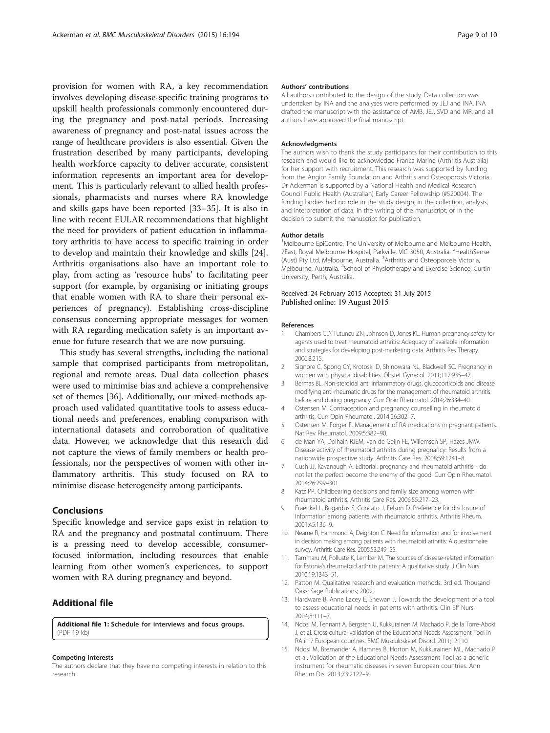<span id="page-8-0"></span>provision for women with RA, a key recommendation involves developing disease-specific training programs to upskill health professionals commonly encountered during the pregnancy and post-natal periods. Increasing awareness of pregnancy and post-natal issues across the range of healthcare providers is also essential. Given the frustration described by many participants, developing health workforce capacity to deliver accurate, consistent information represents an important area for development. This is particularly relevant to allied health professionals, pharmacists and nurses where RA knowledge and skills gaps have been reported [\[33](#page-9-0)–[35\]](#page-9-0). It is also in line with recent EULAR recommendations that highlight the need for providers of patient education in inflammatory arthritis to have access to specific training in order to develop and maintain their knowledge and skills [\[24](#page-9-0)]. Arthritis organisations also have an important role to play, from acting as 'resource hubs' to facilitating peer support (for example, by organising or initiating groups that enable women with RA to share their personal experiences of pregnancy). Establishing cross-discipline consensus concerning appropriate messages for women with RA regarding medication safety is an important avenue for future research that we are now pursuing.

This study has several strengths, including the national sample that comprised participants from metropolitan, regional and remote areas. Dual data collection phases were used to minimise bias and achieve a comprehensive set of themes [\[36](#page-9-0)]. Additionally, our mixed-methods approach used validated quantitative tools to assess educational needs and preferences, enabling comparison with international datasets and corroboration of qualitative data. However, we acknowledge that this research did not capture the views of family members or health professionals, nor the perspectives of women with other inflammatory arthritis. This study focused on RA to minimise disease heterogeneity among participants.

#### Conclusions

Specific knowledge and service gaps exist in relation to RA and the pregnancy and postnatal continuum. There is a pressing need to develop accessible, consumerfocused information, including resources that enable learning from other women's experiences, to support women with RA during pregnancy and beyond.

#### Additional file

[Additional file 1:](http://www.biomedcentral.com/content/supplementary/s12891-015-0657-4-s1.pdf) Schedule for interviews and focus groups. (PDF 19 kb)

#### Competing interests

The authors declare that they have no competing interests in relation to this research.

#### Authors' contributions

All authors contributed to the design of the study. Data collection was undertaken by INA and the analyses were performed by JEJ and INA. INA drafted the manuscript with the assistance of AMB, JEJ, SVD and MR, and all authors have approved the final manuscript.

#### Acknowledgments

The authors wish to thank the study participants for their contribution to this research and would like to acknowledge Franca Marine (Arthritis Australia) for her support with recruitment. This research was supported by funding from the Angior Family Foundation and Arthritis and Osteoporosis Victoria. Dr Ackerman is supported by a National Health and Medical Research Council Public Health (Australian) Early Career Fellowship (#520004). The funding bodies had no role in the study design; in the collection, analysis, and interpretation of data; in the writing of the manuscript; or in the decision to submit the manuscript for publication.

#### Author details

<sup>1</sup>Melbourne EpiCentre, The University of Melbourne and Melbourne Health, 7East, Royal Melbourne Hospital, Parkville, VIC 3050, Australia. <sup>2</sup>HealthSense (Aust) Pty Ltd, Melbourne, Australia. <sup>3</sup>Arthritis and Osteoporosis Victoria Melbourne, Australia. <sup>4</sup>School of Physiotherapy and Exercise Science, Curtin University, Perth, Australia.

#### Received: 24 February 2015 Accepted: 31 July 2015 Published online: 19 August 2015

#### References

- 1. Chambers CD, Tutuncu ZN, Johnson D, Jones KL. Human pregnancy safety for agents used to treat rheumatoid arthritis: Adequacy of available information and strategies for developing post-marketing data. Arthritis Res Therapy. 2006;8:215.
- 2. Signore C, Spong CY, Krotoski D, Shinowara NL, Blackwell SC. Pregnancy in women with physical disabilities. Obstet Gynecol. 2011;117:935–47.
- 3. Bermas BL. Non-steroidal anti inflammatory drugs, glucocorticoids and disease modifying anti-rheumatic drugs for the management of rheumatoid arthritis before and during pregnancy. Curr Opin Rheumatol. 2014;26:334–40.
- 4. Ostensen M. Contraception and pregnancy counselling in rheumatoid arthritis. Curr Opin Rheumatol. 2014;26:302–7.
- 5. Ostensen M, Forger F. Management of RA medications in pregnant patients. Nat Rev Rheumatol. 2009;5:382–90.
- 6. de Man YA, Dolhain RJEM, van de Geijn FE, Willemsen SP, Hazes JMW. Disease activity of rheumatoid arthritis during pregnancy: Results from a nationwide prospective study. Arthritis Care Res. 2008;59:1241–8.
- 7. Cush JJ, Kavanaugh A. Editorial: pregnancy and rheumatoid arthritis do not let the perfect become the enemy of the good. Curr Opin Rheumatol. 2014;26:299–301.
- 8. Katz PP. Childbearing decisions and family size among women with rheumatoid arthritis. Arthritis Care Res. 2006;55:217–23.
- 9. Fraenkel L, Bogardus S, Concato J, Felson D. Preference for disclosure of information among patients with rheumatoid arthritis. Arthritis Rheum. 2001;45:136–9.
- 10. Neame R, Hammond A, Deighton C. Need for information and for involvement in decision making among patients with rheumatoid arthritis: A questionnaire survey. Arthritis Care Res. 2005;53:249–55.
- 11. Tammaru M, Polluste K, Lember M. The sources of disease-related information for Estonia's rheumatoid arthritis patients: A qualitative study. J Clin Nurs. 2010;19:1343–51.
- 12. Patton M. Qualitative research and evaluation methods. 3rd ed. Thousand Oaks: Sage Publications; 2002.
- 13. Hardware B, Anne Lacey E, Shewan J. Towards the development of a tool to assess educational needs in patients with arthritis. Clin Eff Nurs. 2004;8:111–7.
- 14. Ndosi M, Tennant A, Bergsten U, Kukkurainen M, Machado P, de la Torre-Aboki J, et al. Cross-cultural validation of the Educational Needs Assessment Tool in RA in 7 European countries. BMC Musculoskelet Disord. 2011;12:110.
- 15. Ndosi M, Bremander A, Hamnes B, Horton M, Kukkurainen ML, Machado P, et al. Validation of the Educational Needs Assessment Tool as a generic instrument for rheumatic diseases in seven European countries. Ann Rheum Dis. 2013;73:2122–9.